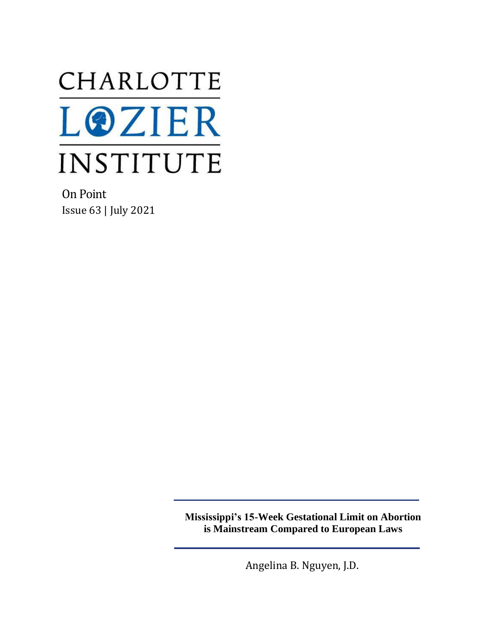

On Point Issue 63 | July 2021

> **Mississippi's 15-Week Gestational Limit on Abortion is Mainstream Compared to European Laws**

> > Angelina B. Nguyen, J.D.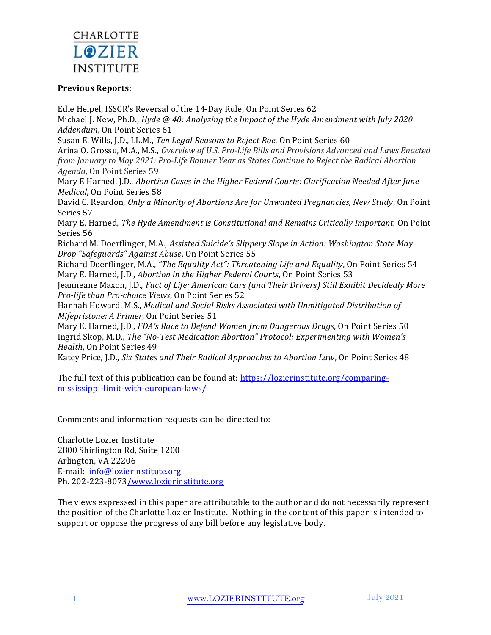

### **Previous Reports:**

Edie Heipel, ISSCR's Reversal of the 14-Day Rule, On Point Series 62 Michael J. New, Ph.D., *Hyde @ 40: Analyzing the Impact of the Hyde Amendment with July 2020 Addendum*, On Point Series 61 Susan E. Wills, J.D., LL.M., *Ten Legal Reasons to Reject Roe,* On Point Series 60 Arina O. Grossu, M.A., M.S., *Overview of U.S. Pro-Life Bills and Provisions Advanced and Laws Enacted from January to May 2021: Pro-Life Banner Year as States Continue to Reject the Radical Abortion Agenda*, On Point Series 59 Mary E Harned, J.D., *Abortion Cases in the Higher Federal Courts: Clarification Needed After June Medical*, On Point Series 58 David C. Reardon, *Only a Minority of Abortions Are for Unwanted Pregnancies, New Study*, On Point Series 57 Mary E. Harned, *The Hyde Amendment is Constitutional and Remains Critically Important,* On Point Series 56 Richard M. Doerflinger, M.A., *Assisted Suicide's Slippery Slope in Action: Washington State May Drop "Safeguards" Against Abuse*, On Point Series 55 Richard Doerflinger, M.A., *"The Equality Act": Threatening Life and Equality*, On Point Series 54 Mary E. Harned, J.D., *Abortion in the Higher Federal Courts*, On Point Series 53 Jeanneane Maxon, J.D., *Fact of Life: American Cars (and Their Drivers) Still Exhibit Decidedly More Pro-life than Pro-choice Views*, On Point Series 52 Hannah Howard, M.S., *Medical and Social Risks Associated with Unmitigated Distribution of Mifepristone: A Primer*, On Point Series 51 Mary E. Harned, J.D., *FDA's Race to Defend Women from Dangerous Drugs*, On Point Series 50 Ingrid Skop, M.D., *The "No-Test Medication Abortion" Protocol: Experimenting with Women's Health*, On Point Series 49 Katey Price, J.D., *Six States and Their Radical Approaches to Abortion Law*, On Point Series 48

The full text of this publication can be found at: [https://lozierinstitute.org/comparing](https://lozierinstitute.org/comparing-mississippi-limit-with-european-laws/)[mississippi-limit-with-european-laws/](https://lozierinstitute.org/comparing-mississippi-limit-with-european-laws/)

Comments and information requests can be directed to:

Charlotte Lozier Institute 2800 Shirlington Rd, Suite 1200 Arlington, VA 22206 E-mail: [info@lozierinstitute.org](mailto:info@lozierinstitute.org) Ph. 202-223-807[3/www.lozierinstitute.org](http://www.lozierinstitute.org/)

The views expressed in this paper are attributable to the author and do not necessarily represent the position of the Charlotte Lozier Institute. Nothing in the content of this paper is intended to support or oppose the progress of any bill before any legislative body.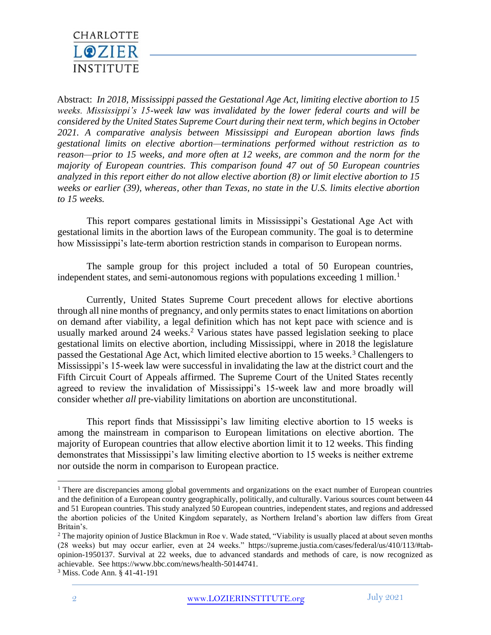

Abstract: *In 2018, Mississippi passed the Gestational Age Act, limiting elective abortion to 15 weeks. Mississippi's 15-week law was invalidated by the lower federal courts and will be considered by the United States Supreme Court during their next term, which begins in October 2021. A comparative analysis between Mississippi and European abortion laws finds gestational limits on elective abortion—terminations performed without restriction as to reason—prior to 15 weeks, and more often at 12 weeks, are common and the norm for the majority of European countries. This comparison found 47 out of 50 European countries analyzed in this report either do not allow elective abortion (8) or limit elective abortion to 15 weeks or earlier (39), whereas, other than Texas, no state in the U.S. limits elective abortion to 15 weeks.*

This report compares gestational limits in Mississippi's Gestational Age Act with gestational limits in the abortion laws of the European community. The goal is to determine how Mississippi's late-term abortion restriction stands in comparison to European norms.

The sample group for this project included a total of 50 European countries, independent states, and semi-autonomous regions with populations exceeding 1 million.<sup>1</sup>

Currently, United States Supreme Court precedent allows for elective abortions through all nine months of pregnancy, and only permits states to enact limitations on abortion on demand after viability, a legal definition which has not kept pace with science and is usually marked around  $24$  weeks.<sup>2</sup> Various states have passed legislation seeking to place gestational limits on elective abortion, including Mississippi, where in 2018 the legislature passed the Gestational Age Act, which limited elective abortion to 15 weeks.<sup>3</sup> Challengers to Mississippi's 15-week law were successful in invalidating the law at the district court and the Fifth Circuit Court of Appeals affirmed. The Supreme Court of the United States recently agreed to review the invalidation of Mississippi's 15-week law and more broadly will consider whether *all* pre-viability limitations on abortion are unconstitutional.

This report finds that Mississippi's law limiting elective abortion to 15 weeks is among the mainstream in comparison to European limitations on elective abortion. The majority of European countries that allow elective abortion limit it to 12 weeks. This finding demonstrates that Mississippi's law limiting elective abortion to 15 weeks is neither extreme nor outside the norm in comparison to European practice.

<sup>&</sup>lt;sup>1</sup> There are discrepancies among global governments and organizations on the exact number of European countries and the definition of a European country geographically, politically, and culturally. Various sources count between 44 and 51 European countries. This study analyzed 50 European countries, independent states, and regions and addressed the abortion policies of the United Kingdom separately, as Northern Ireland's abortion law differs from Great Britain's.

<sup>&</sup>lt;sup>2</sup> The majority opinion of Justice Blackmun in Roe v. Wade stated, "Viability is usually placed at about seven months (28 weeks) but may occur earlier, even at 24 weeks." [https://supreme.justia.com/cases/federal/us/410/113/#tab](https://supreme.justia.com/cases/federal/us/410/113/#tab-opinion-1950137)[opinion-1950137.](https://supreme.justia.com/cases/federal/us/410/113/#tab-opinion-1950137) Survival at 22 weeks, due to advanced standards and methods of care, is now recognized as achievable. See https://www.bbc.com/news/health-50144741.

<sup>3</sup> Miss. Code Ann. § 41-41-191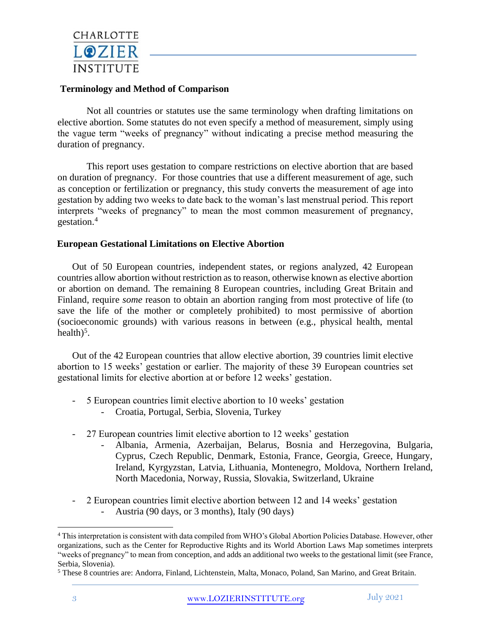

#### **Terminology and Method of Comparison**

Not all countries or statutes use the same terminology when drafting limitations on elective abortion. Some statutes do not even specify a method of measurement, simply using the vague term "weeks of pregnancy" without indicating a precise method measuring the duration of pregnancy.

This report uses gestation to compare restrictions on elective abortion that are based on duration of pregnancy. For those countries that use a different measurement of age, such as conception or fertilization or pregnancy, this study converts the measurement of age into gestation by adding two weeks to date back to the woman's last menstrual period. This report interprets "weeks of pregnancy" to mean the most common measurement of pregnancy, gestation.<sup>4</sup>

#### **European Gestational Limitations on Elective Abortion**

Out of 50 European countries, independent states, or regions analyzed, 42 European countries allow abortion without restriction as to reason, otherwise known as elective abortion or abortion on demand. The remaining 8 European countries, including Great Britain and Finland, require *some* reason to obtain an abortion ranging from most protective of life (to save the life of the mother or completely prohibited) to most permissive of abortion (socioeconomic grounds) with various reasons in between (e.g., physical health, mental health) $5$ .

Out of the 42 European countries that allow elective abortion, 39 countries limit elective abortion to 15 weeks' gestation or earlier. The majority of these 39 European countries set gestational limits for elective abortion at or before 12 weeks' gestation.

- 5 European countries limit elective abortion to 10 weeks' gestation
	- Croatia, Portugal, Serbia, Slovenia, Turkey
- 27 European countries limit elective abortion to 12 weeks' gestation
	- Albania, Armenia, Azerbaijan, Belarus, Bosnia and Herzegovina, Bulgaria, Cyprus, Czech Republic, Denmark, Estonia, France, Georgia, Greece, Hungary, Ireland, Kyrgyzstan, Latvia, Lithuania, Montenegro, Moldova, Northern Ireland, North Macedonia, Norway, Russia, Slovakia, Switzerland, Ukraine
- 2 European countries limit elective abortion between 12 and 14 weeks' gestation
	- Austria (90 days, or 3 months), Italy (90 days)

<sup>4</sup> This interpretation is consistent with data compiled from WHO's Global Abortion Policies Database. However, other organizations, such as the Center for Reproductive Rights and its World Abortion Laws Map sometimes interprets "weeks of pregnancy" to mean from conception, and adds an additional two weeks to the gestational limit (see France, Serbia, Slovenia).

<sup>5</sup> These 8 countries are: Andorra, Finland, Lichtenstein, Malta, Monaco, Poland, San Marino, and Great Britain.